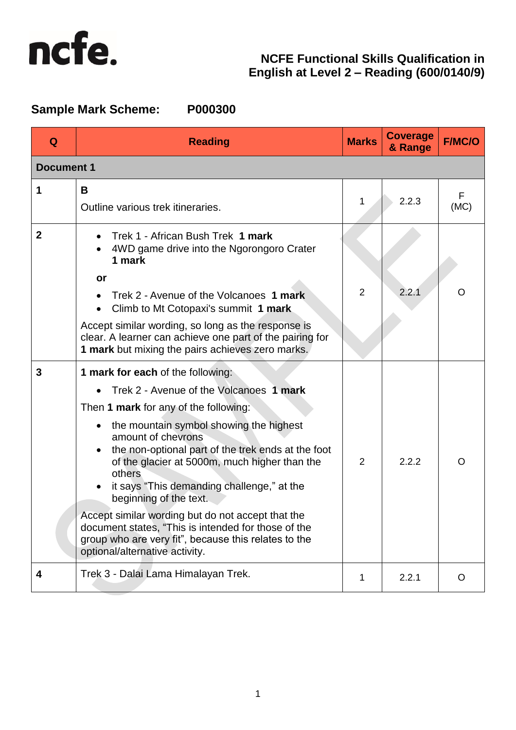

# **Sample Mark Scheme: P000300**

| Q                 | <b>Reading</b>                                                                                                                                                                                                                                         | <b>Marks</b>   | <b>Coverage</b><br>& Range | <b>F/MC/O</b> |
|-------------------|--------------------------------------------------------------------------------------------------------------------------------------------------------------------------------------------------------------------------------------------------------|----------------|----------------------------|---------------|
| <b>Document 1</b> |                                                                                                                                                                                                                                                        |                |                            |               |
| 1                 | B<br>Outline various trek itineraries.                                                                                                                                                                                                                 | 1              | 2.2.3                      | F<br>(MC)     |
| $\mathbf 2$       | Trek 1 - African Bush Trek 1 mark<br>4WD game drive into the Ngorongoro Crater<br>1 mark<br>or<br>Trek 2 - Avenue of the Volcanoes 1 mark                                                                                                              | $\overline{2}$ | 2.2.1                      | O             |
|                   | Climb to Mt Cotopaxi's summit 1 mark<br>Accept similar wording, so long as the response is<br>clear. A learner can achieve one part of the pairing for<br>1 mark but mixing the pairs achieves zero marks.                                             |                |                            |               |
| 3                 | 1 mark for each of the following:                                                                                                                                                                                                                      |                |                            |               |
|                   | Trek 2 - Avenue of the Volcanoes 1 mark                                                                                                                                                                                                                |                |                            |               |
|                   | Then 1 mark for any of the following:                                                                                                                                                                                                                  |                |                            |               |
|                   | the mountain symbol showing the highest<br>amount of chevrons<br>the non-optional part of the trek ends at the foot<br>of the glacier at 5000m, much higher than the<br>others<br>it says "This demanding challenge," at the<br>beginning of the text. | 2              | 2.2.2                      | O             |
|                   | Accept similar wording but do not accept that the<br>document states, "This is intended for those of the<br>group who are very fit", because this relates to the<br>optional/alternative activity.                                                     |                |                            |               |
| 4                 | Trek 3 - Dalai Lama Himalayan Trek.                                                                                                                                                                                                                    | 1              | 2.2.1                      | O             |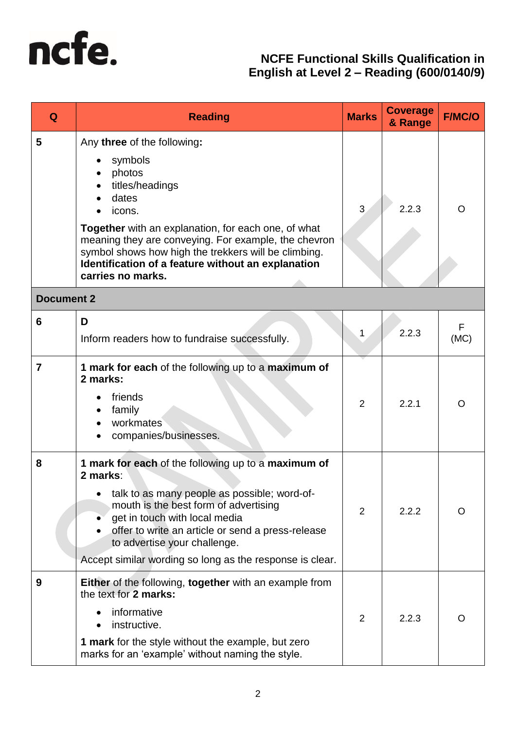

| Q                 | <b>Reading</b>                                                                                                                                                                                                                                                                                                                                  | <b>Marks</b>   | <b>Coverage</b><br>& Range | <b>F/MC/O</b> |
|-------------------|-------------------------------------------------------------------------------------------------------------------------------------------------------------------------------------------------------------------------------------------------------------------------------------------------------------------------------------------------|----------------|----------------------------|---------------|
| 5                 | Any three of the following:<br>symbols<br>photos<br>titles/headings<br>dates<br>icons.<br><b>Together</b> with an explanation, for each one, of what<br>meaning they are conveying. For example, the chevron<br>symbol shows how high the trekkers will be climbing.<br>Identification of a feature without an explanation<br>carries no marks. | 3              | 2.2.3                      | O             |
| <b>Document 2</b> |                                                                                                                                                                                                                                                                                                                                                 |                |                            |               |
| 6                 | D<br>Inform readers how to fundraise successfully.                                                                                                                                                                                                                                                                                              | 1              | 2.2.3                      | F<br>(MC)     |
| $\overline{7}$    | 1 mark for each of the following up to a maximum of<br>2 marks:<br>friends<br>family<br>workmates<br>companies/businesses.                                                                                                                                                                                                                      | $\overline{2}$ | 2.2.1                      | O             |
| 8                 | 1 mark for each of the following up to a maximum of<br>2 marks:<br>talk to as many people as possible; word-of-<br>mouth is the best form of advertising<br>get in touch with local media<br>offer to write an article or send a press-release<br>to advertise your challenge.<br>Accept similar wording so long as the response is clear.      | $\overline{2}$ | 2.2.2                      | O             |
| 9                 | Either of the following, together with an example from<br>the text for 2 marks:<br>informative<br>instructive.<br>1 mark for the style without the example, but zero<br>marks for an 'example' without naming the style.                                                                                                                        | $\overline{2}$ | 2.2.3                      | O             |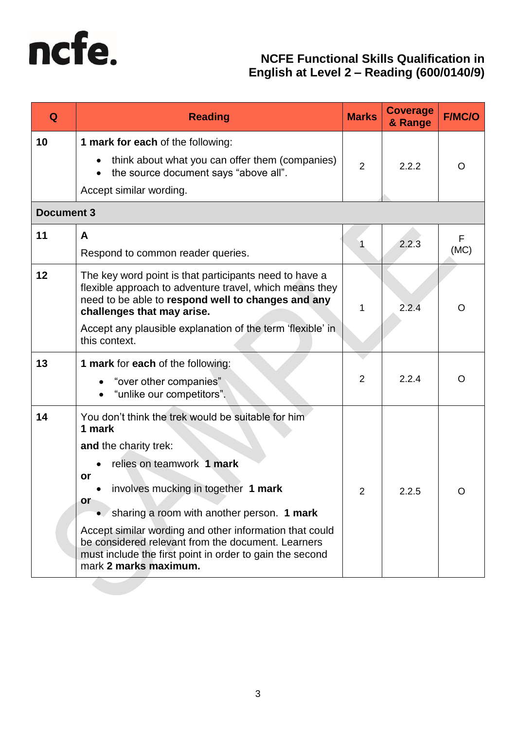

| Q                 | <b>Reading</b>                                                                                                                                                                                                                                                                                                                                                                                                            | <b>Marks</b>   | <b>Coverage</b><br>& Range | <b>F/MC/O</b> |
|-------------------|---------------------------------------------------------------------------------------------------------------------------------------------------------------------------------------------------------------------------------------------------------------------------------------------------------------------------------------------------------------------------------------------------------------------------|----------------|----------------------------|---------------|
| 10                | 1 mark for each of the following:<br>think about what you can offer them (companies)<br>the source document says "above all".<br>$\bullet$<br>Accept similar wording.                                                                                                                                                                                                                                                     | 2              | 2.2.2                      | O             |
| <b>Document 3</b> |                                                                                                                                                                                                                                                                                                                                                                                                                           |                |                            |               |
| 11                | A<br>Respond to common reader queries.                                                                                                                                                                                                                                                                                                                                                                                    |                | 2.2.3                      | F<br>(MC)     |
| 12                | The key word point is that participants need to have a<br>flexible approach to adventure travel, which means they<br>need to be able to respond well to changes and any<br>challenges that may arise.<br>Accept any plausible explanation of the term 'flexible' in<br>this context.                                                                                                                                      | 1              | 2.2.4                      | O             |
| 13                | 1 mark for each of the following:                                                                                                                                                                                                                                                                                                                                                                                         |                |                            |               |
|                   | "over other companies"<br>"unlike our competitors".                                                                                                                                                                                                                                                                                                                                                                       | $\overline{2}$ | 2.2.4                      | O             |
| 14                | You don't think the trek would be suitable for him<br>1 mark<br>and the charity trek:<br>relies on teamwork 1 mark<br>or<br>involves mucking in together 1 mark<br>or<br>sharing a room with another person. 1 mark<br>Accept similar wording and other information that could<br>be considered relevant from the document. Learners<br>must include the first point in order to gain the second<br>mark 2 marks maximum. | 2              | 2.2.5                      |               |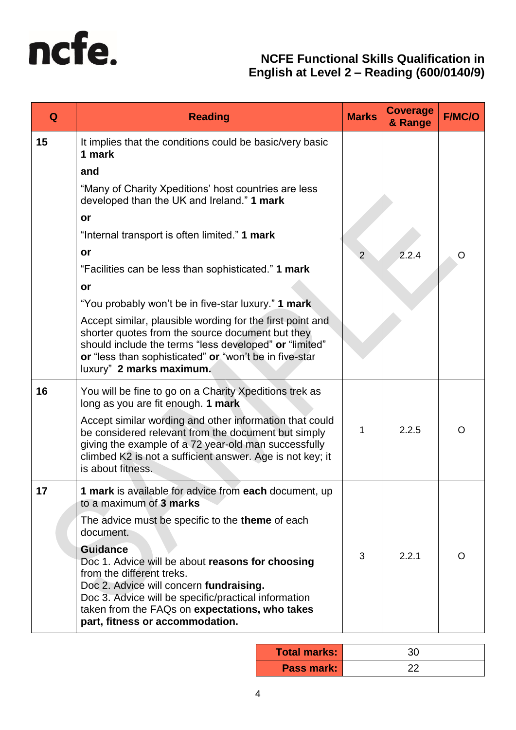

| Q  | <b>Reading</b>                                                                                                                                                                                                                                                                           | <b>Marks</b>   | <b>Coverage</b><br>& Range | <b>F/MC/O</b> |
|----|------------------------------------------------------------------------------------------------------------------------------------------------------------------------------------------------------------------------------------------------------------------------------------------|----------------|----------------------------|---------------|
| 15 | It implies that the conditions could be basic/very basic<br>1 mark<br>and                                                                                                                                                                                                                |                |                            |               |
|    | "Many of Charity Xpeditions' host countries are less<br>developed than the UK and Ireland." 1 mark                                                                                                                                                                                       |                |                            |               |
|    | or                                                                                                                                                                                                                                                                                       |                |                            |               |
|    | "Internal transport is often limited." 1 mark                                                                                                                                                                                                                                            |                |                            |               |
|    | or                                                                                                                                                                                                                                                                                       | $\overline{2}$ | 2.2.4                      |               |
|    | "Facilities can be less than sophisticated." 1 mark                                                                                                                                                                                                                                      |                |                            |               |
|    | or                                                                                                                                                                                                                                                                                       |                |                            |               |
|    | "You probably won't be in five-star luxury." 1 mark                                                                                                                                                                                                                                      |                |                            |               |
|    | Accept similar, plausible wording for the first point and<br>shorter quotes from the source document but they<br>should include the terms "less developed" or "limited"<br>or "less than sophisticated" or "won't be in five-star<br>luxury" 2 marks maximum.                            |                |                            |               |
| 16 | You will be fine to go on a Charity Xpeditions trek as<br>long as you are fit enough. 1 mark                                                                                                                                                                                             |                |                            |               |
|    | Accept similar wording and other information that could<br>be considered relevant from the document but simply<br>giving the example of a 72 year-old man successfully<br>climbed K2 is not a sufficient answer. Age is not key; it<br>is about fitness.                                 | 1              | 2.2.5                      | O             |
| 17 | 1 mark is available for advice from each document, up<br>to a maximum of 3 marks                                                                                                                                                                                                         |                |                            |               |
|    | The advice must be specific to the <b>theme</b> of each<br>document.                                                                                                                                                                                                                     |                |                            |               |
|    | <b>Guidance</b><br>Doc 1. Advice will be about reasons for choosing<br>from the different treks.<br>Doc 2. Advice will concern fundraising.<br>Doc 3. Advice will be specific/practical information<br>taken from the FAQs on expectations, who takes<br>part, fitness or accommodation. | 3              | 2.2.1                      | O             |

| <b>Total marks:</b> |  |
|---------------------|--|
| <b>Pass mark:</b>   |  |